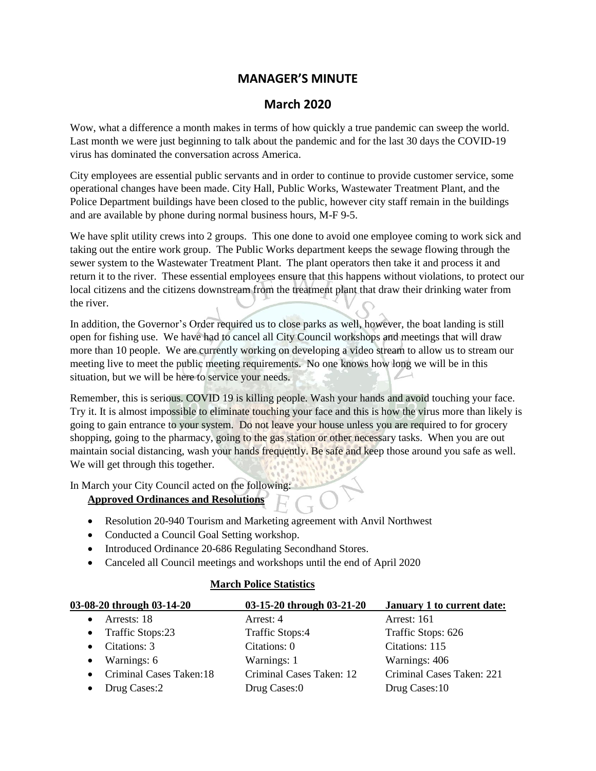## **MANAGER'S MINUTE**

## **March 2020**

Wow, what a difference a month makes in terms of how quickly a true pandemic can sweep the world. Last month we were just beginning to talk about the pandemic and for the last 30 days the COVID-19 virus has dominated the conversation across America.

City employees are essential public servants and in order to continue to provide customer service, some operational changes have been made. City Hall, Public Works, Wastewater Treatment Plant, and the Police Department buildings have been closed to the public, however city staff remain in the buildings and are available by phone during normal business hours, M-F 9-5.

We have split utility crews into 2 groups. This one done to avoid one employee coming to work sick and taking out the entire work group. The Public Works department keeps the sewage flowing through the sewer system to the Wastewater Treatment Plant. The plant operators then take it and process it and return it to the river. These essential employees ensure that this happens without violations, to protect our local citizens and the citizens downstream from the treatment plant that draw their drinking water from the river.

In addition, the Governor's Order required us to close parks as well, however, the boat landing is still open for fishing use. We have had to cancel all City Council workshops and meetings that will draw more than 10 people. We are currently working on developing a video stream to allow us to stream our meeting live to meet the public meeting requirements. No one knows how long we will be in this situation, but we will be here to service your needs.

Remember, this is serious. COVID 19 is killing people. Wash your hands and avoid touching your face. Try it. It is almost impossible to eliminate touching your face and this is how the virus more than likely is going to gain entrance to your system. Do not leave your house unless you are required to for grocery shopping, going to the pharmacy, going to the gas station or other necessary tasks. When you are out maintain social distancing, wash your hands frequently. Be safe and keep those around you safe as well. We will get through this together.

In March your City Council acted on the following:

## **Approved Ordinances and Resolutions**

- Resolution 20-940 Tourism and Marketing agreement with Anvil Northwest
- Conducted a Council Goal Setting workshop.
- Introduced Ordinance 20-686 Regulating Secondhand Stores.
- Canceled all Council meetings and workshops until the end of April 2020

## **March Police Statistics**

| 03-08-20 through 03-14-20 | 03-15-20 through 03-21-20 | January 1 to current date: |
|---------------------------|---------------------------|----------------------------|
| Arrests: 18               | Arrest: 4                 | Arrest: 161                |
| • Traffic Stops:23        | Traffic Stops:4           | Traffic Stops: 626         |
| • Citations: $3$          | Citations: 0              | Citations: 115             |
| $\bullet$ Warnings: 6     | Warnings: 1               | Warnings: 406              |
| • Criminal Cases Taken:18 | Criminal Cases Taken: 12  | Criminal Cases Taken: 221  |
| • Drug Cases: $2$         | Drug Cases:0              | Drug Cases:10              |